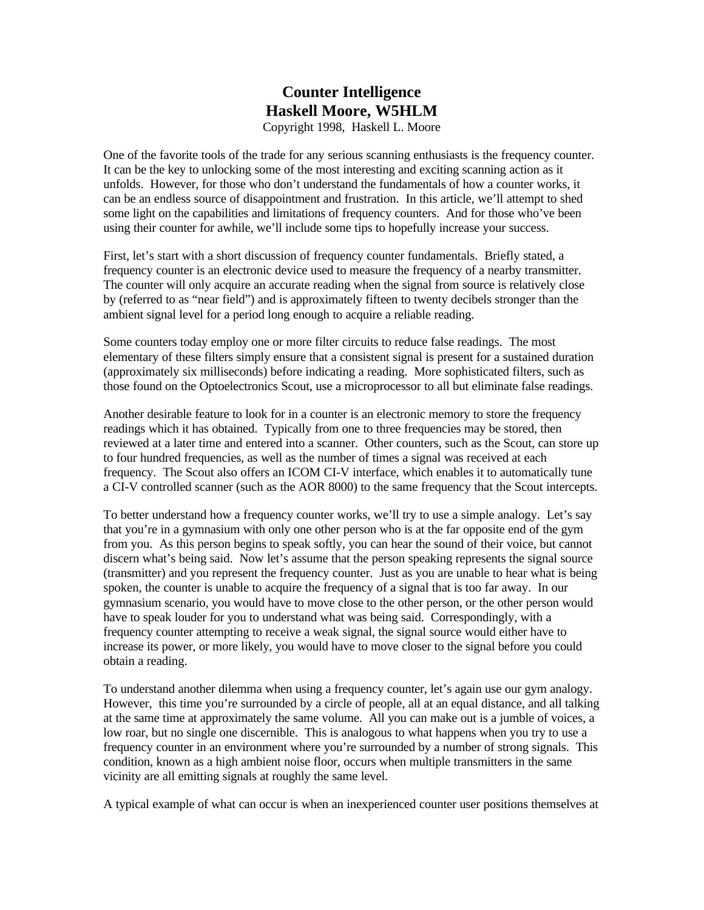## **Counter Intelligence Haskell Moore, W5HLM** Copyright 1998, Haskell L. Moore

One of the favorite tools of the trade for any serious scanning enthusiasts is the frequency counter. It can be the key to unlocking some of the most interesting and exciting scanning action as it unfolds. However, for those who don't understand the fundamentals of how a counter works, it can be an endless source of disappointment and frustration. In this article, we'll attempt to shed some light on the capabilities and limitations of frequency counters. And for those who've been using their counter for awhile, we'll include some tips to hopefully increase your success.

First, let's start with a short discussion of frequency counter fundamentals. Briefly stated, a frequency counter is an electronic device used to measure the frequency of a nearby transmitter. The counter will only acquire an accurate reading when the signal from source is relatively close by (referred to as "near field") and is approximately fifteen to twenty decibels stronger than the ambient signal level for a period long enough to acquire a reliable reading.

Some counters today employ one or more filter circuits to reduce false readings. The most elementary of these filters simply ensure that a consistent signal is present for a sustained duration (approximately six milliseconds) before indicating a reading. More sophisticated filters, such as those found on the Optoelectronics Scout, use a microprocessor to all but eliminate false readings.

Another desirable feature to look for in a counter is an electronic memory to store the frequency readings which it has obtained. Typically from one to three frequencies may be stored, then reviewed at a later time and entered into a scanner. Other counters, such as the Scout, can store up to four hundred frequencies, as well as the number of times a signal was received at each frequency. The Scout also offers an ICOM CI-V interface, which enables it to automatically tune a CI-V controlled scanner (such as the AOR 8000) to the same frequency that the Scout intercepts.

To better understand how a frequency counter works, we'll try to use a simple analogy. Let's say that you're in a gymnasium with only one other person who is at the far opposite end of the gym from you. As this person begins to speak softly, you can hear the sound of their voice, but cannot discern what's being said. Now let's assume that the person speaking represents the signal source (transmitter) and you represent the frequency counter. Just as you are unable to hear what is being spoken, the counter is unable to acquire the frequency of a signal that is too far away. In our gymnasium scenario, you would have to move close to the other person, or the other person would have to speak louder for you to understand what was being said. Correspondingly, with a frequency counter attempting to receive a weak signal, the signal source would either have to increase its power, or more likely, you would have to move closer to the signal before you could obtain a reading.

To understand another dilemma when using a frequency counter, let's again use our gym analogy. However, this time you're surrounded by a circle of people, all at an equal distance, and all talking at the same time at approximately the same volume. All you can make out is a jumble of voices, a low roar, but no single one discernible. This is analogous to what happens when you try to use a frequency counter in an environment where you're surrounded by a number of strong signals. This condition, known as a high ambient noise floor, occurs when multiple transmitters in the same vicinity are all emitting signals at roughly the same level.

A typical example of what can occur is when an inexperienced counter user positions themselves at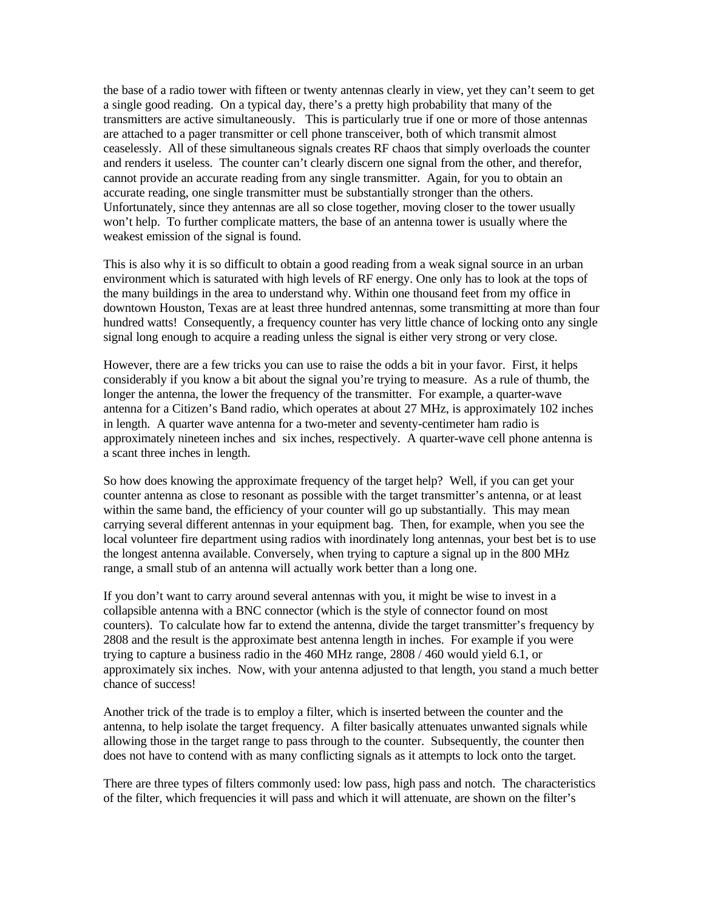the base of a radio tower with fifteen or twenty antennas clearly in view, yet they can't seem to get a single good reading. On a typical day, there's a pretty high probability that many of the transmitters are active simultaneously. This is particularly true if one or more of those antennas are attached to a pager transmitter or cell phone transceiver, both of which transmit almost ceaselessly. All of these simultaneous signals creates RF chaos that simply overloads the counter and renders it useless. The counter can't clearly discern one signal from the other, and therefor, cannot provide an accurate reading from any single transmitter. Again, for you to obtain an accurate reading, one single transmitter must be substantially stronger than the others. Unfortunately, since they antennas are all so close together, moving closer to the tower usually won't help. To further complicate matters, the base of an antenna tower is usually where the weakest emission of the signal is found.

This is also why it is so difficult to obtain a good reading from a weak signal source in an urban environment which is saturated with high levels of RF energy. One only has to look at the tops of the many buildings in the area to understand why. Within one thousand feet from my office in downtown Houston, Texas are at least three hundred antennas, some transmitting at more than four hundred watts! Consequently, a frequency counter has very little chance of locking onto any single signal long enough to acquire a reading unless the signal is either very strong or very close.

However, there are a few tricks you can use to raise the odds a bit in your favor. First, it helps considerably if you know a bit about the signal you're trying to measure. As a rule of thumb, the longer the antenna, the lower the frequency of the transmitter. For example, a quarter-wave antenna for a Citizen's Band radio, which operates at about 27 MHz, is approximately 102 inches in length. A quarter wave antenna for a two-meter and seventy-centimeter ham radio is approximately nineteen inches and six inches, respectively. A quarter-wave cell phone antenna is a scant three inches in length.

So how does knowing the approximate frequency of the target help? Well, if you can get your counter antenna as close to resonant as possible with the target transmitter's antenna, or at least within the same band, the efficiency of your counter will go up substantially. This may mean carrying several different antennas in your equipment bag. Then, for example, when you see the local volunteer fire department using radios with inordinately long antennas, your best bet is to use the longest antenna available. Conversely, when trying to capture a signal up in the 800 MHz range, a small stub of an antenna will actually work better than a long one.

If you don't want to carry around several antennas with you, it might be wise to invest in a collapsible antenna with a BNC connector (which is the style of connector found on most counters). To calculate how far to extend the antenna, divide the target transmitter's frequency by 2808 and the result is the approximate best antenna length in inches. For example if you were trying to capture a business radio in the 460 MHz range, 2808 / 460 would yield 6.1, or approximately six inches. Now, with your antenna adjusted to that length, you stand a much better chance of success!

Another trick of the trade is to employ a filter, which is inserted between the counter and the antenna, to help isolate the target frequency. A filter basically attenuates unwanted signals while allowing those in the target range to pass through to the counter. Subsequently, the counter then does not have to contend with as many conflicting signals as it attempts to lock onto the target.

There are three types of filters commonly used: low pass, high pass and notch. The characteristics of the filter, which frequencies it will pass and which it will attenuate, are shown on the filter's